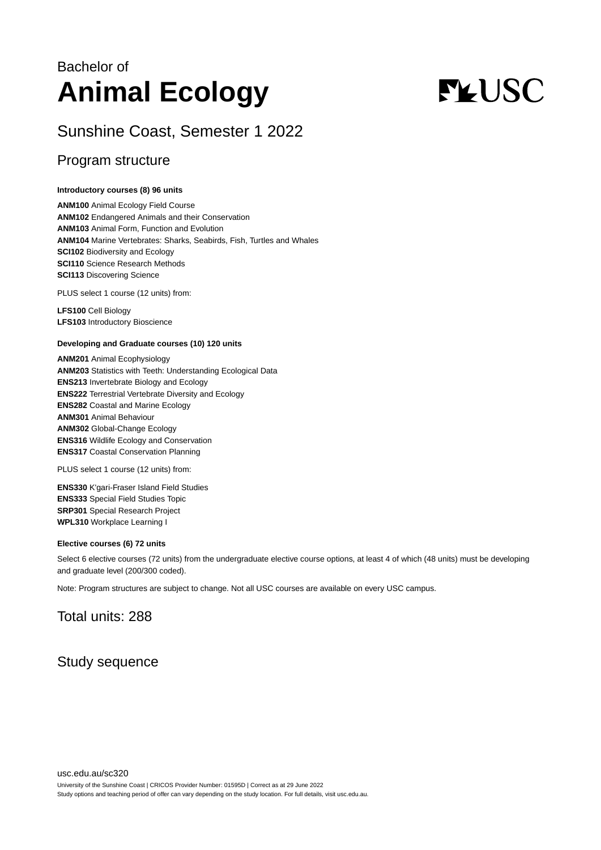## Bachelor of **Animal Ecology**

# **FLUSC**

## Sunshine Coast, Semester 1 2022

## Program structure

#### **Introductory courses (8) 96 units**

**ANM100** Animal Ecology Field Course **ANM102** Endangered Animals and their Conservation **ANM103** Animal Form, Function and Evolution **ANM104** Marine Vertebrates: Sharks, Seabirds, Fish, Turtles and Whales **SCI102** Biodiversity and Ecology **SCI110** Science Research Methods **SCI113** Discovering Science

PLUS select 1 course (12 units) from:

**LFS100** Cell Biology **LFS103** Introductory Bioscience

#### **Developing and Graduate courses (10) 120 units**

**ANM201** Animal Ecophysiology **ANM203** Statistics with Teeth: Understanding Ecological Data **ENS213** Invertebrate Biology and Ecology **ENS222** Terrestrial Vertebrate Diversity and Ecology **ENS282** Coastal and Marine Ecology **ANM301** Animal Behaviour **ANM302** Global-Change Ecology **ENS316** Wildlife Ecology and Conservation **ENS317** Coastal Conservation Planning

PLUS select 1 course (12 units) from:

**ENS330** K'gari-Fraser Island Field Studies **ENS333** Special Field Studies Topic **SRP301** Special Research Project **WPL310** Workplace Learning I

#### **Elective courses (6) 72 units**

Select 6 elective courses (72 units) from the undergraduate elective course options, at least 4 of which (48 units) must be developing and graduate level (200/300 coded).

Note: Program structures are subject to change. Not all USC courses are available on every USC campus.

## Total units: 288

## Study sequence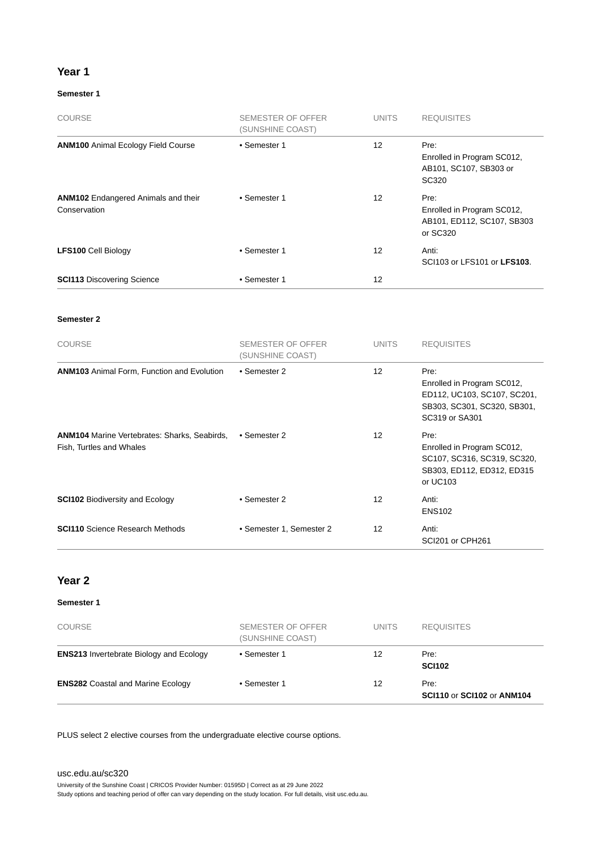#### **Year 1**

#### **Semester 1**

| <b>COURSE</b>                                              | SEMESTER OF OFFER<br>(SUNSHINE COAST) | <b>UNITS</b> | <b>REQUISITES</b>                                                            |
|------------------------------------------------------------|---------------------------------------|--------------|------------------------------------------------------------------------------|
| <b>ANM100 Animal Ecology Field Course</b>                  | • Semester 1                          | 12           | Pre:<br>Enrolled in Program SC012,<br>AB101, SC107, SB303 or<br>SC320        |
| <b>ANM102</b> Endangered Animals and their<br>Conservation | • Semester 1                          | 12           | Pre:<br>Enrolled in Program SC012,<br>AB101, ED112, SC107, SB303<br>or SC320 |
| <b>LFS100 Cell Biology</b>                                 | • Semester 1                          | 12           | Anti:<br>SCI103 or LFS101 or LFS103.                                         |
| <b>SCI113 Discovering Science</b>                          | • Semester 1                          | 12           |                                                                              |

#### **Semester 2**

| <b>COURSE</b>                                                                   | <b>SEMESTER OF OFFER</b><br>(SUNSHINE COAST) | <b>UNITS</b>      | <b>REQUISITES</b>                                                                                                  |
|---------------------------------------------------------------------------------|----------------------------------------------|-------------------|--------------------------------------------------------------------------------------------------------------------|
| <b>ANM103</b> Animal Form, Function and Evolution                               | • Semester 2                                 | 12                | Pre:<br>Enrolled in Program SC012,<br>ED112, UC103, SC107, SC201,<br>SB303, SC301, SC320, SB301,<br>SC319 or SA301 |
| <b>ANM104</b> Marine Vertebrates: Sharks, Seabirds,<br>Fish, Turtles and Whales | • Semester 2                                 | $12 \overline{ }$ | Pre:<br>Enrolled in Program SC012,<br>SC107, SC316, SC319, SC320,<br>SB303, ED112, ED312, ED315<br>or UC103        |
| <b>SCI102 Biodiversity and Ecology</b>                                          | • Semester 2                                 | 12                | Anti:<br><b>ENS102</b>                                                                                             |
| <b>SCI110</b> Science Research Methods                                          | • Semester 1, Semester 2                     | 12                | Anti:<br>SCI201 or CPH261                                                                                          |

#### **Year 2**

#### **Semester 1**

| <b>COURSE</b>                                  | <b>SEMESTER OF OFFER</b><br>(SUNSHINE COAST) | <b>UNITS</b> | <b>REQUISITES</b>                         |
|------------------------------------------------|----------------------------------------------|--------------|-------------------------------------------|
| <b>ENS213</b> Invertebrate Biology and Ecology | • Semester 1                                 | 12           | Pre:<br><b>SCI102</b>                     |
| <b>ENS282 Coastal and Marine Ecology</b>       | • Semester 1                                 | 12           | Pre:<br><b>SCI110 or SCI102 or ANM104</b> |

PLUS select 2 elective courses from the undergraduate elective course options.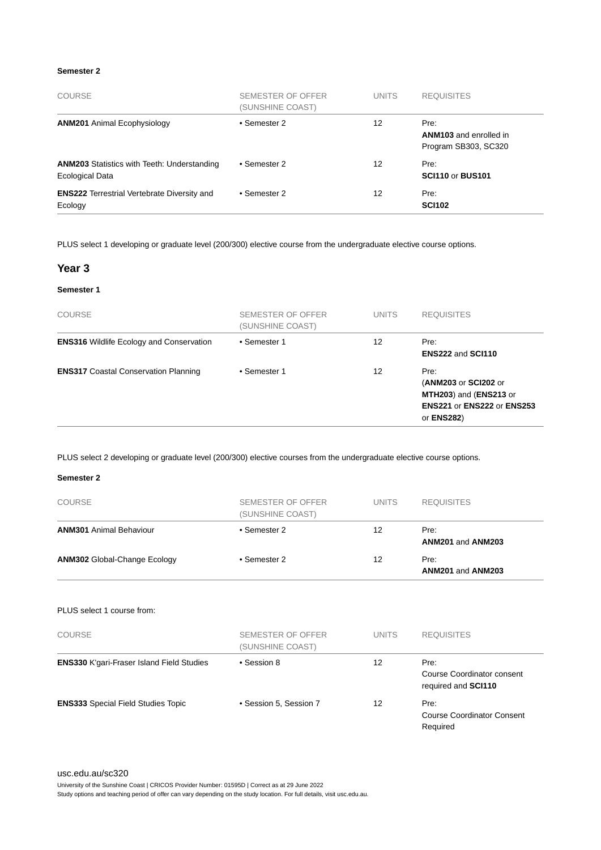#### **Semester 2**

| <b>COURSE</b>                                                         | SEMESTER OF OFFER<br>(SUNSHINE COAST) | <b>UNITS</b> | <b>REQUISITES</b>                                             |
|-----------------------------------------------------------------------|---------------------------------------|--------------|---------------------------------------------------------------|
| <b>ANM201</b> Animal Ecophysiology                                    | • Semester 2                          | 12           | Pre:<br><b>ANM103</b> and enrolled in<br>Program SB303, SC320 |
| <b>ANM203</b> Statistics with Teeth: Understanding<br>Ecological Data | • Semester 2                          | 12           | Pre:<br><b>SCI110 or BUS101</b>                               |
| <b>ENS222</b> Terrestrial Vertebrate Diversity and<br>Ecology         | • Semester 2                          | 12           | Pre:<br><b>SCI102</b>                                         |

PLUS select 1 developing or graduate level (200/300) elective course from the undergraduate elective course options.

#### **Year 3**

#### **Semester 1**

| <b>COURSE</b>                                   | SEMESTER OF OFFER<br>(SUNSHINE COAST) | <b>UNITS</b> | <b>REQUISITES</b>                                                                                                 |
|-------------------------------------------------|---------------------------------------|--------------|-------------------------------------------------------------------------------------------------------------------|
| <b>ENS316</b> Wildlife Ecology and Conservation | • Semester 1                          | 12           | Pre:<br>ENS222 and SCI110                                                                                         |
| <b>ENS317 Coastal Conservation Planning</b>     | • Semester 1                          | 12           | Pre:<br>(ANM203 or SCI202 or<br>MTH203) and (ENS213 or<br><b>ENS221 or ENS222 or ENS253</b><br>or <b>ENS282</b> ) |

PLUS select 2 developing or graduate level (200/300) elective courses from the undergraduate elective course options.

#### **Semester 2**

| <b>COURSE</b>                             | SEMESTER OF OFFER<br>(SUNSHINE COAST) | <b>UNITS</b>    | <b>REQUISITES</b>                                                |
|-------------------------------------------|---------------------------------------|-----------------|------------------------------------------------------------------|
| <b>ANM301 Animal Behaviour</b>            | • Semester 2                          | 12 <sup>2</sup> | Pre:<br>ANM201 and ANM203                                        |
| <b>ANM302 Global-Change Ecology</b>       | • Semester 2                          | 12              | Pre:<br>ANM201 and ANM203                                        |
| PLUS select 1 course from:                |                                       |                 |                                                                  |
| <b>COURSE</b>                             | SEMESTER OF OFFER<br>(SUNSHINE COAST) | <b>UNITS</b>    | <b>REQUISITES</b>                                                |
| ENS330 K'gari-Fraser Island Field Studies | • Session 8                           | 12              | Pre:<br><b>Course Coordinator consent</b><br>required and SCI110 |
| <b>ENS333</b> Special Field Studies Topic | • Session 5, Session 7                | 12              | Pre:<br><b>Course Coordinator Consent</b><br>Required            |

[usc.edu.au/sc320](https://www.usc.edu.au/sc320) University of the Sunshine Coast | CRICOS Provider Number: 01595D | Correct as at 29 June 2022 Study options and teaching period of offer can vary depending on the study location. For full details, visit usc.edu.au.